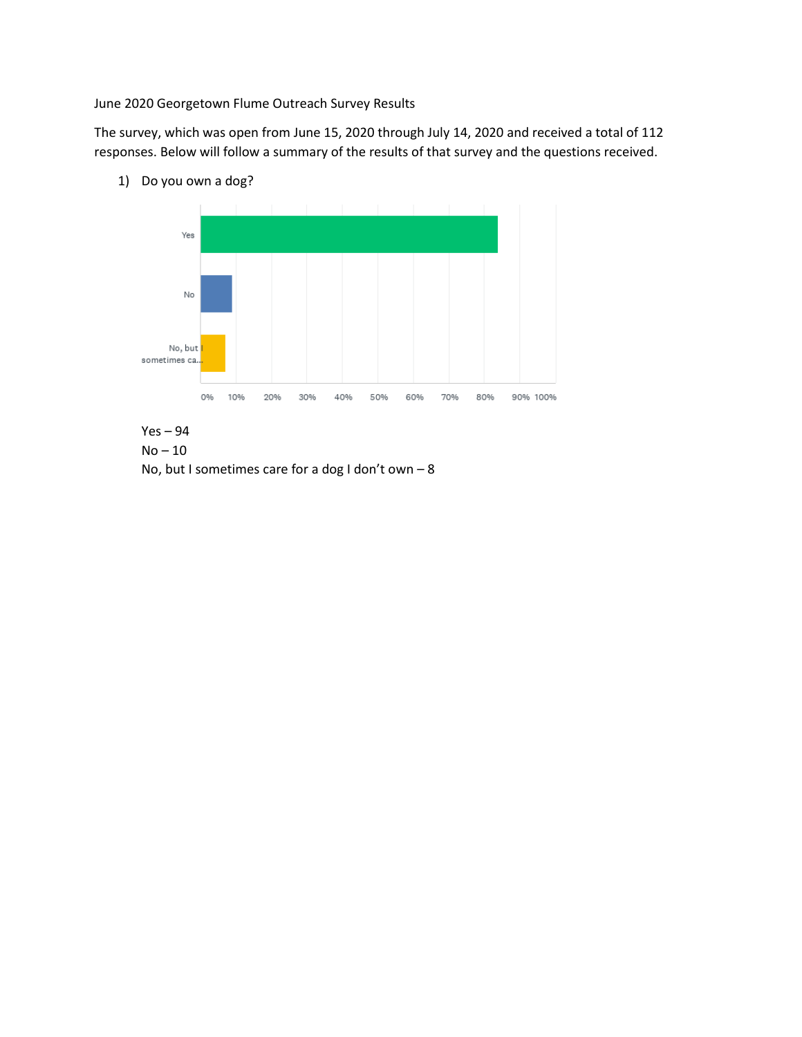June 2020 Georgetown Flume Outreach Survey Results

The survey, which was open from June 15, 2020 through July 14, 2020 and received a total of 112 responses. Below will follow a summary of the results of that survey and the questions received.



No, but I sometimes care for a dog I don't own – 8

1) Do you own a dog?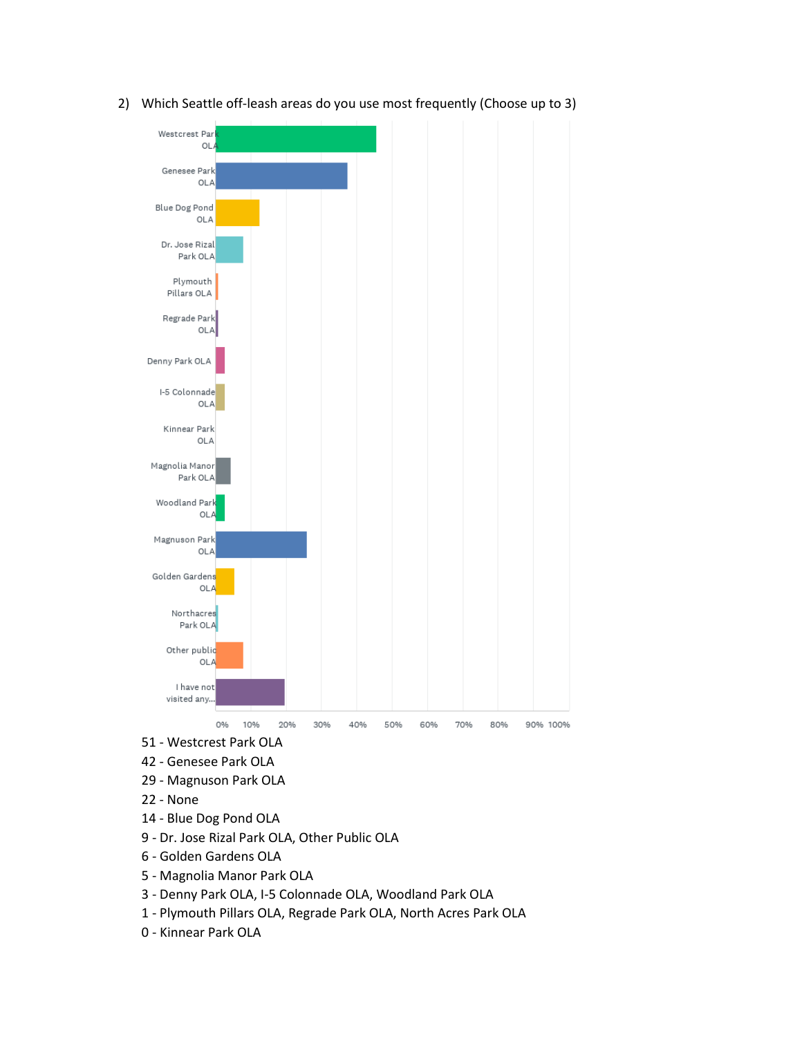

2) Which Seattle off-leash areas do you use most frequently (Choose up to 3)

- 42 Genesee Park OLA
- 29 Magnuson Park OLA
- 22 None
- 14 Blue Dog Pond OLA
- 9 Dr. Jose Rizal Park OLA, Other Public OLA
- 6 Golden Gardens OLA
- 5 Magnolia Manor Park OLA
- 3 Denny Park OLA, I-5 Colonnade OLA, Woodland Park OLA
- 1 Plymouth Pillars OLA, Regrade Park OLA, North Acres Park OLA
- 0 Kinnear Park OLA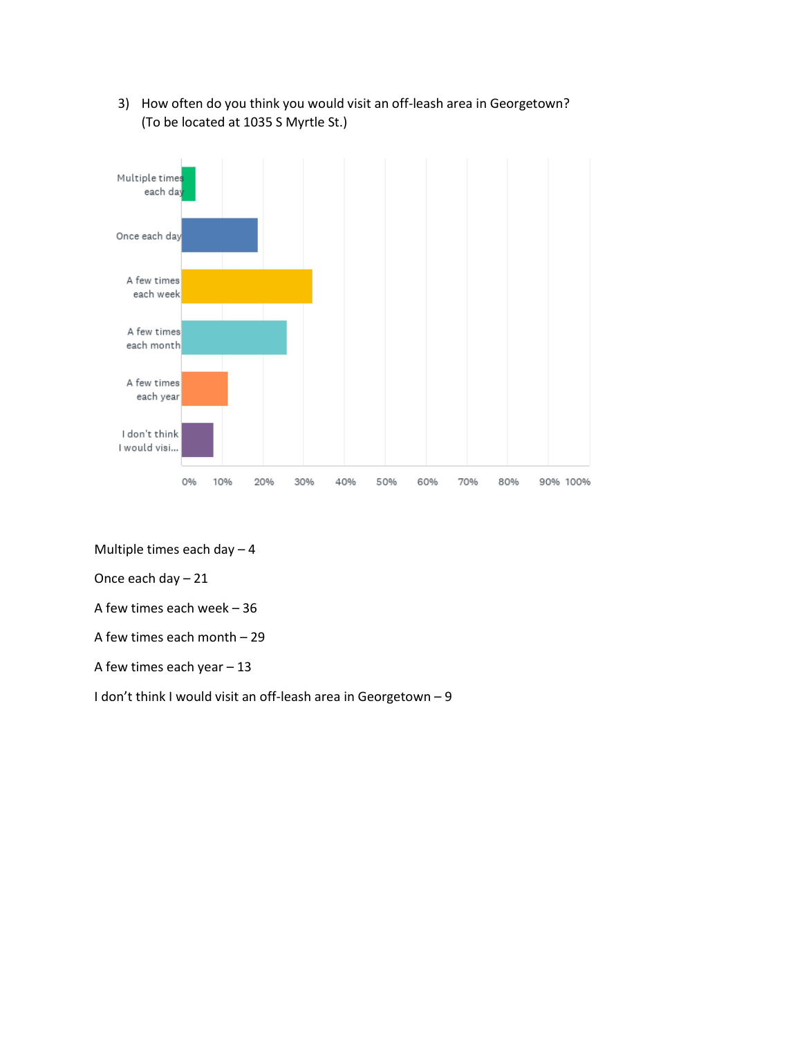

3) How often do you think you would visit an off-leash area in Georgetown? (To be located at 1035 S Myrtle St.)

Multiple times each day – 4

Once each day – 21

A few times each week – 36

A few times each month – 29

A few times each year – 13

I don't think I would visit an off-leash area in Georgetown – 9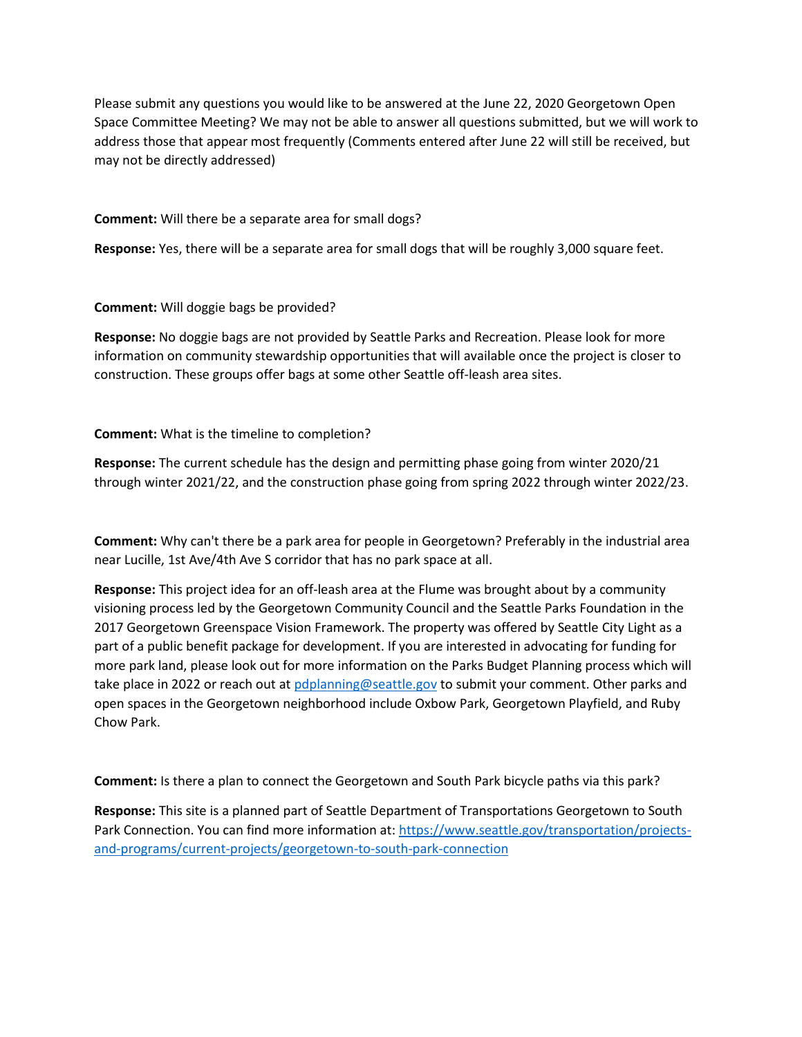Please submit any questions you would like to be answered at the June 22, 2020 Georgetown Open Space Committee Meeting? We may not be able to answer all questions submitted, but we will work to address those that appear most frequently (Comments entered after June 22 will still be received, but may not be directly addressed)

**Comment:** Will there be a separate area for small dogs?

**Response:** Yes, there will be a separate area for small dogs that will be roughly 3,000 square feet.

**Comment:** Will doggie bags be provided?

**Response:** No doggie bags are not provided by Seattle Parks and Recreation. Please look for more information on community stewardship opportunities that will available once the project is closer to construction. These groups offer bags at some other Seattle off-leash area sites.

**Comment:** What is the timeline to completion?

**Response:** The current schedule has the design and permitting phase going from winter 2020/21 through winter 2021/22, and the construction phase going from spring 2022 through winter 2022/23.

**Comment:** Why can't there be a park area for people in Georgetown? Preferably in the industrial area near Lucille, 1st Ave/4th Ave S corridor that has no park space at all.

**Response:** This project idea for an off-leash area at the Flume was brought about by a community visioning process led by the Georgetown Community Council and the Seattle Parks Foundation in the 2017 Georgetown Greenspace Vision Framework. The property was offered by Seattle City Light as a part of a public benefit package for development. If you are interested in advocating for funding for more park land, please look out for more information on the Parks Budget Planning process which will take place in 2022 or reach out a[t pdplanning@seattle.gov](mailto:pdplanning@seattle.gov) to submit your comment. Other parks and open spaces in the Georgetown neighborhood include Oxbow Park, Georgetown Playfield, and Ruby Chow Park.

**Comment:** Is there a plan to connect the Georgetown and South Park bicycle paths via this park?

**Response:** This site is a planned part of Seattle Department of Transportations Georgetown to South Park Connection. You can find more information at: [https://www.seattle.gov/transportation/projects](https://www.seattle.gov/transportation/projects-and-programs/current-projects/georgetown-to-south-park-connection)[and-programs/current-projects/georgetown-to-south-park-connection](https://www.seattle.gov/transportation/projects-and-programs/current-projects/georgetown-to-south-park-connection)